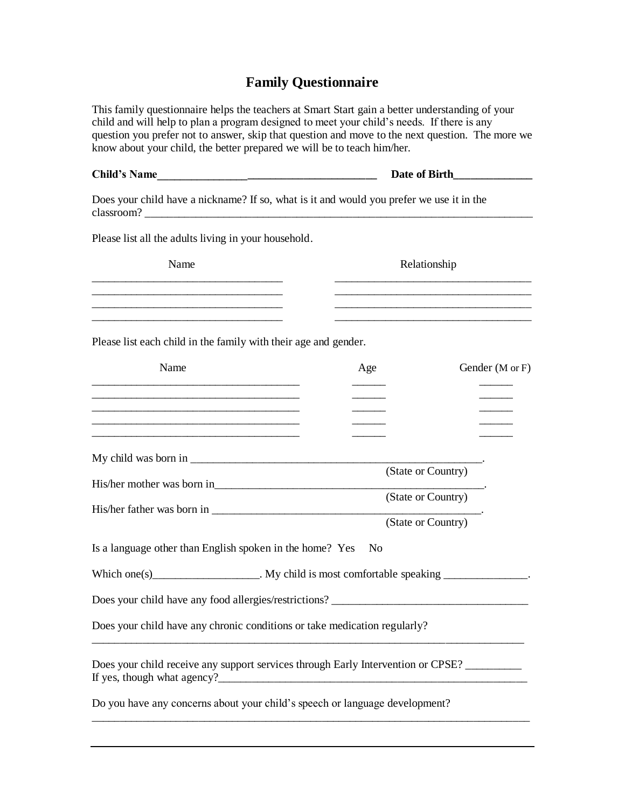## **Family Questionnaire**

This family questionnaire helps the teachers at Smart Start gain a better understanding of your child and will help to plan a program designed to meet your child's needs. If there is any question you prefer not to answer, skip that question and move to the next question. The more we know about your child, the better prepared we will be to teach him/her.

| Child's Name                                                                                                                                                                                                                                 |                                                                                                                                                                                                                                               | Date of Birth |  |  |  |  |  |  |
|----------------------------------------------------------------------------------------------------------------------------------------------------------------------------------------------------------------------------------------------|-----------------------------------------------------------------------------------------------------------------------------------------------------------------------------------------------------------------------------------------------|---------------|--|--|--|--|--|--|
| Does your child have a nickname? If so, what is it and would you prefer we use it in the                                                                                                                                                     |                                                                                                                                                                                                                                               |               |  |  |  |  |  |  |
| Please list all the adults living in your household.                                                                                                                                                                                         |                                                                                                                                                                                                                                               |               |  |  |  |  |  |  |
| Name                                                                                                                                                                                                                                         | Relationship                                                                                                                                                                                                                                  |               |  |  |  |  |  |  |
| <u> 1989 - Johann Harry Harry Harry Harry Harry Harry Harry Harry Harry Harry Harry Harry Harry Harry Harry Harry</u>                                                                                                                        | <u> 1999 - Johann John Stone, markin amerikan basar dan berkembang di banyak di banyak di banyak di banyak di ban</u><br><u> 1989 - Johann John Stein, mars an deutscher Stein und der Stein und der Stein und der Stein und der Stein un</u> |               |  |  |  |  |  |  |
| Please list each child in the family with their age and gender.                                                                                                                                                                              |                                                                                                                                                                                                                                               |               |  |  |  |  |  |  |
| Name                                                                                                                                                                                                                                         | Age<br>Gender (M or F)                                                                                                                                                                                                                        |               |  |  |  |  |  |  |
| <u> 1989 - Johann John Stone, markin film ar yn y brenin y brenin y brenin y brenin y brenin y brenin y brenin y</u><br><u> 1989 - Johann John Harry, mars ar yn y brenin y brenin y brenin y brenin y brenin y brenin y brenin y brenin</u> |                                                                                                                                                                                                                                               |               |  |  |  |  |  |  |
|                                                                                                                                                                                                                                              |                                                                                                                                                                                                                                               |               |  |  |  |  |  |  |
|                                                                                                                                                                                                                                              | (State or Country)                                                                                                                                                                                                                            |               |  |  |  |  |  |  |
|                                                                                                                                                                                                                                              | (State or Country)                                                                                                                                                                                                                            |               |  |  |  |  |  |  |
| Is a language other than English spoken in the home? Yes                                                                                                                                                                                     | (State or Country)<br>N <sub>0</sub>                                                                                                                                                                                                          |               |  |  |  |  |  |  |
|                                                                                                                                                                                                                                              | Which one(s)____________________. My child is most comfortable speaking _______________.                                                                                                                                                      |               |  |  |  |  |  |  |
|                                                                                                                                                                                                                                              |                                                                                                                                                                                                                                               |               |  |  |  |  |  |  |
| Does your child have any chronic conditions or take medication regularly?                                                                                                                                                                    |                                                                                                                                                                                                                                               |               |  |  |  |  |  |  |
|                                                                                                                                                                                                                                              | Does your child receive any support services through Early Intervention or CPSE?                                                                                                                                                              |               |  |  |  |  |  |  |
| Do you have any concerns about your child's speech or language development?                                                                                                                                                                  |                                                                                                                                                                                                                                               |               |  |  |  |  |  |  |
|                                                                                                                                                                                                                                              |                                                                                                                                                                                                                                               |               |  |  |  |  |  |  |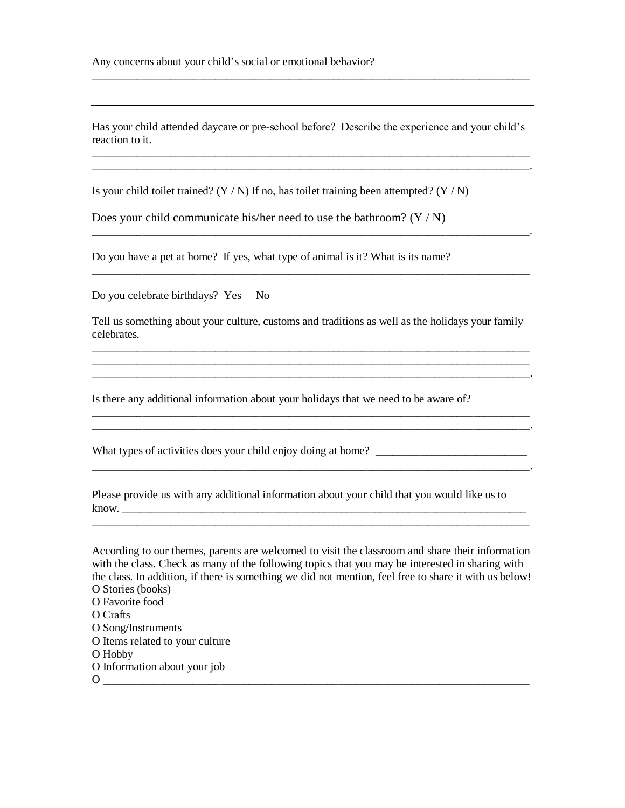Has your child attended daycare or pre-school before? Describe the experience and your child's reaction to it. \_\_\_\_\_\_\_\_\_\_\_\_\_\_\_\_\_\_\_\_\_\_\_\_\_\_\_\_\_\_\_\_\_\_\_\_\_\_\_\_\_\_\_\_\_\_\_\_\_\_\_\_\_\_\_\_\_\_\_\_\_\_\_\_\_\_\_\_\_\_\_\_\_\_\_\_\_\_

\_\_\_\_\_\_\_\_\_\_\_\_\_\_\_\_\_\_\_\_\_\_\_\_\_\_\_\_\_\_\_\_\_\_\_\_\_\_\_\_\_\_\_\_\_\_\_\_\_\_\_\_\_\_\_\_\_\_\_\_\_\_\_\_\_\_\_\_\_\_\_\_\_\_\_\_\_\_

Is your child toilet trained? ( $Y/N$ ) If no, has toilet training been attempted? ( $Y/N$ )

Does your child communicate his/her need to use the bathroom?  $(Y/N)$ 

Do you have a pet at home? If yes, what type of animal is it? What is its name?

Do you celebrate birthdays? Yes No

Tell us something about your culture, customs and traditions as well as the holidays your family celebrates. \_\_\_\_\_\_\_\_\_\_\_\_\_\_\_\_\_\_\_\_\_\_\_\_\_\_\_\_\_\_\_\_\_\_\_\_\_\_\_\_\_\_\_\_\_\_\_\_\_\_\_\_\_\_\_\_\_\_\_\_\_\_\_\_\_\_\_\_\_\_\_\_\_\_\_\_\_\_

\_\_\_\_\_\_\_\_\_\_\_\_\_\_\_\_\_\_\_\_\_\_\_\_\_\_\_\_\_\_\_\_\_\_\_\_\_\_\_\_\_\_\_\_\_\_\_\_\_\_\_\_\_\_\_\_\_\_\_\_\_\_\_\_\_\_\_\_\_\_\_\_\_\_\_\_\_\_ \_\_\_\_\_\_\_\_\_\_\_\_\_\_\_\_\_\_\_\_\_\_\_\_\_\_\_\_\_\_\_\_\_\_\_\_\_\_\_\_\_\_\_\_\_\_\_\_\_\_\_\_\_\_\_\_\_\_\_\_\_\_\_\_\_\_\_\_\_\_\_\_\_\_\_\_\_\_.

\_\_\_\_\_\_\_\_\_\_\_\_\_\_\_\_\_\_\_\_\_\_\_\_\_\_\_\_\_\_\_\_\_\_\_\_\_\_\_\_\_\_\_\_\_\_\_\_\_\_\_\_\_\_\_\_\_\_\_\_\_\_\_\_\_\_\_\_\_\_\_\_\_\_\_\_\_\_

\_\_\_\_\_\_\_\_\_\_\_\_\_\_\_\_\_\_\_\_\_\_\_\_\_\_\_\_\_\_\_\_\_\_\_\_\_\_\_\_\_\_\_\_\_\_\_\_\_\_\_\_\_\_\_\_\_\_\_\_\_\_\_\_\_\_\_\_\_\_\_\_\_\_\_\_\_\_.

\_\_\_\_\_\_\_\_\_\_\_\_\_\_\_\_\_\_\_\_\_\_\_\_\_\_\_\_\_\_\_\_\_\_\_\_\_\_\_\_\_\_\_\_\_\_\_\_\_\_\_\_\_\_\_\_\_\_\_\_\_\_\_\_\_\_\_\_\_\_\_\_\_\_\_\_\_\_.

\_\_\_\_\_\_\_\_\_\_\_\_\_\_\_\_\_\_\_\_\_\_\_\_\_\_\_\_\_\_\_\_\_\_\_\_\_\_\_\_\_\_\_\_\_\_\_\_\_\_\_\_\_\_\_\_\_\_\_\_\_\_\_\_\_\_\_\_\_\_\_\_\_\_\_\_\_\_

Is there any additional information about your holidays that we need to be aware of?

What types of activities does your child enjoy doing at home? \_\_\_\_\_\_\_\_\_\_\_\_\_\_\_\_\_\_\_

|       |  |  | Please provide us with any additional information about your child that you would like us to |  |  |  |
|-------|--|--|----------------------------------------------------------------------------------------------|--|--|--|
| know. |  |  |                                                                                              |  |  |  |

According to our themes, parents are welcomed to visit the classroom and share their information with the class. Check as many of the following topics that you may be interested in sharing with the class. In addition, if there is something we did not mention, feel free to share it with us below! O Stories (books)

\_\_\_\_\_\_\_\_\_\_\_\_\_\_\_\_\_\_\_\_\_\_\_\_\_\_\_\_\_\_\_\_\_\_\_\_\_\_\_\_\_\_\_\_\_\_\_\_\_\_\_\_\_\_\_\_\_\_\_\_\_\_\_\_\_\_\_\_\_\_\_\_\_\_\_\_\_\_

- O Favorite food
- O Crafts
- O Song/Instruments
- O Items related to your culture
- O Hobby
- O Information about your job
- $\overline{O}$